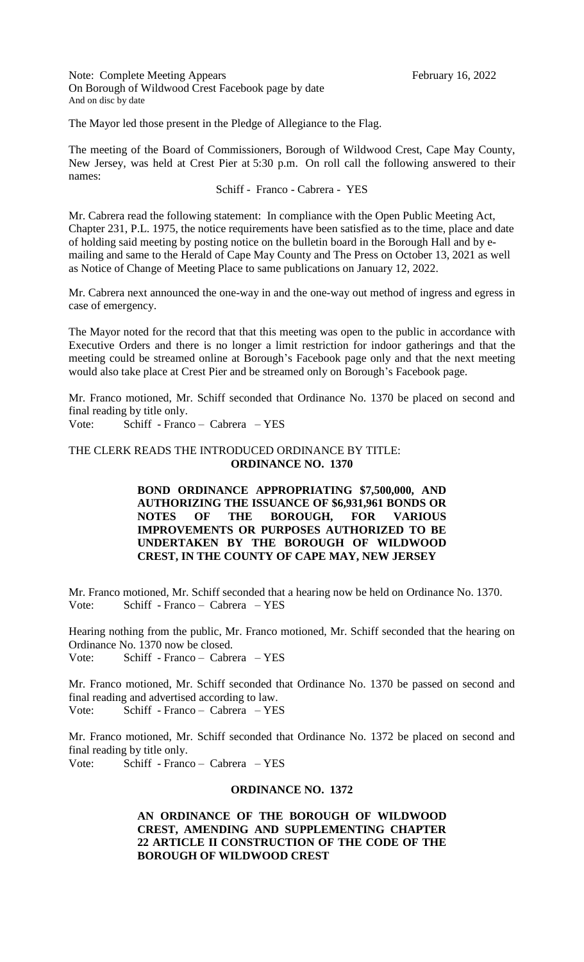Note: Complete Meeting Appears February 16, 2022 On Borough of Wildwood Crest Facebook page by date And on disc by date

The Mayor led those present in the Pledge of Allegiance to the Flag.

The meeting of the Board of Commissioners, Borough of Wildwood Crest, Cape May County, New Jersey, was held at Crest Pier at 5:30 p.m. On roll call the following answered to their names:

# Schiff - Franco - Cabrera - YES

Mr. Cabrera read the following statement: In compliance with the Open Public Meeting Act, Chapter 231, P.L. 1975, the notice requirements have been satisfied as to the time, place and date of holding said meeting by posting notice on the bulletin board in the Borough Hall and by emailing and same to the Herald of Cape May County and The Press on October 13, 2021 as well as Notice of Change of Meeting Place to same publications on January 12, 2022.

Mr. Cabrera next announced the one-way in and the one-way out method of ingress and egress in case of emergency.

The Mayor noted for the record that that this meeting was open to the public in accordance with Executive Orders and there is no longer a limit restriction for indoor gatherings and that the meeting could be streamed online at Borough's Facebook page only and that the next meeting would also take place at Crest Pier and be streamed only on Borough's Facebook page.

Mr. Franco motioned, Mr. Schiff seconded that Ordinance No. 1370 be placed on second and final reading by title only.

Vote: Schiff - Franco – Cabrera – YES

# THE CLERK READS THE INTRODUCED ORDINANCE BY TITLE: **ORDINANCE NO. 1370**

**BOND ORDINANCE APPROPRIATING \$7,500,000, AND AUTHORIZING THE ISSUANCE OF \$6,931,961 BONDS OR NOTES OF THE BOROUGH, FOR VARIOUS IMPROVEMENTS OR PURPOSES AUTHORIZED TO BE UNDERTAKEN BY THE BOROUGH OF WILDWOOD CREST, IN THE COUNTY OF CAPE MAY, NEW JERSEY**

Mr. Franco motioned, Mr. Schiff seconded that a hearing now be held on Ordinance No. 1370. Vote: Schiff - Franco – Cabrera – YES

Hearing nothing from the public, Mr. Franco motioned, Mr. Schiff seconded that the hearing on Ordinance No. 1370 now be closed.

Vote: Schiff - Franco – Cabrera – YES

Mr. Franco motioned, Mr. Schiff seconded that Ordinance No. 1370 be passed on second and final reading and advertised according to law. Vote: Schiff - Franco – Cabrera – YES

Mr. Franco motioned, Mr. Schiff seconded that Ordinance No. 1372 be placed on second and final reading by title only. Vote: Schiff - Franco – Cabrera – YES

# **ORDINANCE NO. 1372**

**AN ORDINANCE OF THE BOROUGH OF WILDWOOD CREST, AMENDING AND SUPPLEMENTING CHAPTER 22 ARTICLE II CONSTRUCTION OF THE CODE OF THE BOROUGH OF WILDWOOD CREST**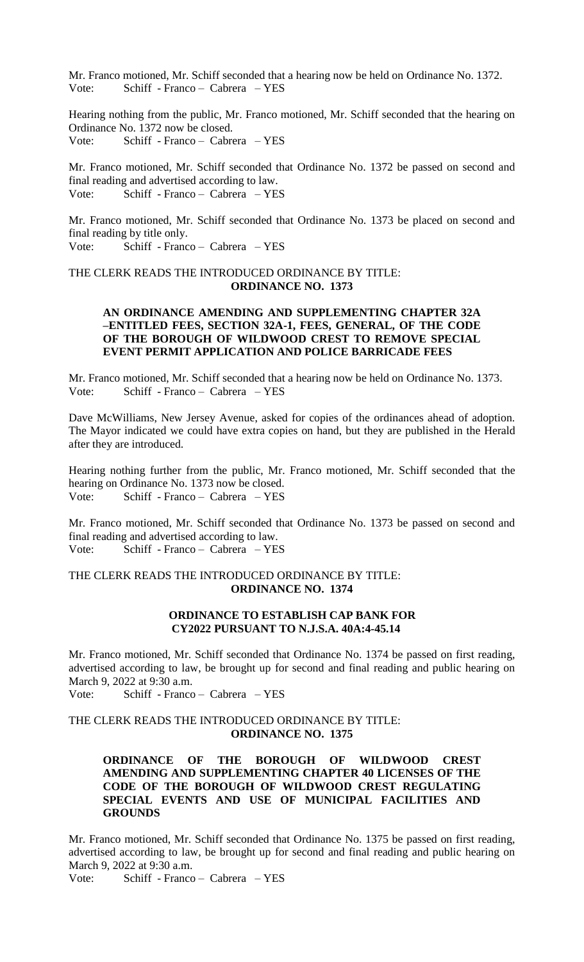Mr. Franco motioned, Mr. Schiff seconded that a hearing now be held on Ordinance No. 1372. Vote: Schiff - Franco – Cabrera – YES

Hearing nothing from the public, Mr. Franco motioned, Mr. Schiff seconded that the hearing on Ordinance No. 1372 now be closed. Vote: Schiff - Franco – Cabrera – YES

Mr. Franco motioned, Mr. Schiff seconded that Ordinance No. 1372 be passed on second and final reading and advertised according to law. Vote: Schiff - Franco – Cabrera – YES

Mr. Franco motioned, Mr. Schiff seconded that Ordinance No. 1373 be placed on second and final reading by title only. Vote: Schiff - Franco – Cabrera – YES

# THE CLERK READS THE INTRODUCED ORDINANCE BY TITLE: **ORDINANCE NO. 1373**

# **AN ORDINANCE AMENDING AND SUPPLEMENTING CHAPTER 32A –ENTITLED FEES, SECTION 32A-1, FEES, GENERAL, OF THE CODE OF THE BOROUGH OF WILDWOOD CREST TO REMOVE SPECIAL EVENT PERMIT APPLICATION AND POLICE BARRICADE FEES**

Mr. Franco motioned, Mr. Schiff seconded that a hearing now be held on Ordinance No. 1373. Vote: Schiff - Franco – Cabrera – YES

Dave McWilliams, New Jersey Avenue, asked for copies of the ordinances ahead of adoption. The Mayor indicated we could have extra copies on hand, but they are published in the Herald after they are introduced.

Hearing nothing further from the public, Mr. Franco motioned, Mr. Schiff seconded that the hearing on Ordinance No. 1373 now be closed. Vote: Schiff - Franco – Cabrera – YES

Mr. Franco motioned, Mr. Schiff seconded that Ordinance No. 1373 be passed on second and final reading and advertised according to law. Vote: Schiff - Franco – Cabrera – YES

# THE CLERK READS THE INTRODUCED ORDINANCE BY TITLE: **ORDINANCE NO. 1374**

# **ORDINANCE TO ESTABLISH CAP BANK FOR CY2022 PURSUANT TO N.J.S.A. 40A:4-45.14**

Mr. Franco motioned, Mr. Schiff seconded that Ordinance No. 1374 be passed on first reading, advertised according to law, be brought up for second and final reading and public hearing on March 9, 2022 at 9:30 a.m.

Vote: Schiff - Franco – Cabrera – YES

THE CLERK READS THE INTRODUCED ORDINANCE BY TITLE: **ORDINANCE NO. 1375**

# **ORDINANCE OF THE BOROUGH OF WILDWOOD CREST AMENDING AND SUPPLEMENTING CHAPTER 40 LICENSES OF THE CODE OF THE BOROUGH OF WILDWOOD CREST REGULATING SPECIAL EVENTS AND USE OF MUNICIPAL FACILITIES AND GROUNDS**

Mr. Franco motioned, Mr. Schiff seconded that Ordinance No. 1375 be passed on first reading, advertised according to law, be brought up for second and final reading and public hearing on March 9, 2022 at 9:30 a.m.

Vote: Schiff - Franco – Cabrera – YES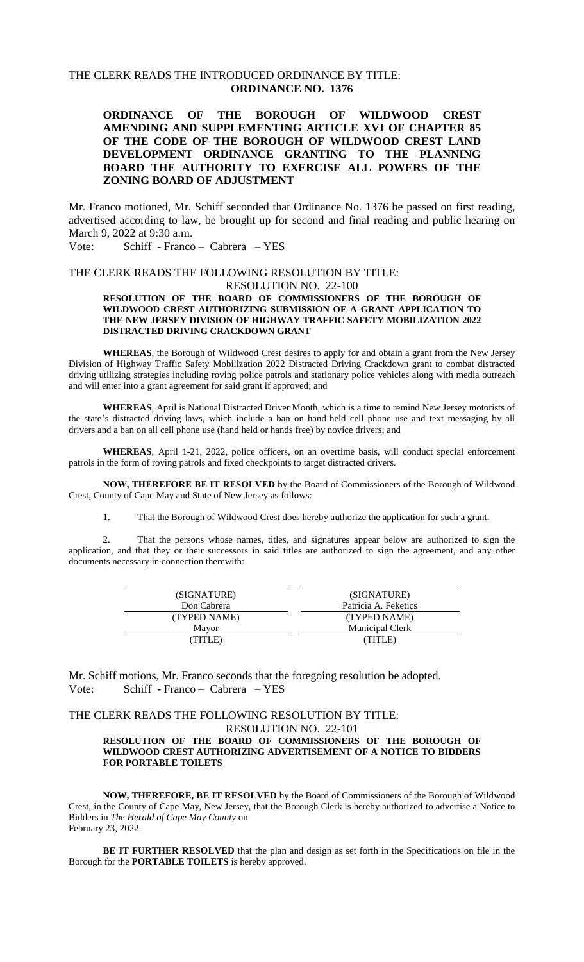# THE CLERK READS THE INTRODUCED ORDINANCE BY TITLE: **ORDINANCE NO. 1376**

# **ORDINANCE OF THE BOROUGH OF WILDWOOD CREST AMENDING AND SUPPLEMENTING ARTICLE XVI OF CHAPTER 85 OF THE CODE OF THE BOROUGH OF WILDWOOD CREST LAND DEVELOPMENT ORDINANCE GRANTING TO THE PLANNING BOARD THE AUTHORITY TO EXERCISE ALL POWERS OF THE ZONING BOARD OF ADJUSTMENT**

Mr. Franco motioned, Mr. Schiff seconded that Ordinance No. 1376 be passed on first reading, advertised according to law, be brought up for second and final reading and public hearing on March 9, 2022 at 9:30 a.m.

Vote: Schiff - Franco – Cabrera – YES

## THE CLERK READS THE FOLLOWING RESOLUTION BY TITLE:

### RESOLUTION NO. 22-100

### **RESOLUTION OF THE BOARD OF COMMISSIONERS OF THE BOROUGH OF WILDWOOD CREST AUTHORIZING SUBMISSION OF A GRANT APPLICATION TO THE NEW JERSEY DIVISION OF HIGHWAY TRAFFIC SAFETY MOBILIZATION 2022 DISTRACTED DRIVING CRACKDOWN GRANT**

**WHEREAS**, the Borough of Wildwood Crest desires to apply for and obtain a grant from the New Jersey Division of Highway Traffic Safety Mobilization 2022 Distracted Driving Crackdown grant to combat distracted driving utilizing strategies including roving police patrols and stationary police vehicles along with media outreach and will enter into a grant agreement for said grant if approved; and

**WHEREAS**, April is National Distracted Driver Month, which is a time to remind New Jersey motorists of the state's distracted driving laws, which include a ban on hand-held cell phone use and text messaging by all drivers and a ban on all cell phone use (hand held or hands free) by novice drivers; and

**WHEREAS**, April 1-21, 2022, police officers, on an overtime basis, will conduct special enforcement patrols in the form of roving patrols and fixed checkpoints to target distracted drivers.

**NOW, THEREFORE BE IT RESOLVED** by the Board of Commissioners of the Borough of Wildwood Crest, County of Cape May and State of New Jersey as follows:

1. That the Borough of Wildwood Crest does hereby authorize the application for such a grant.

2. That the persons whose names, titles, and signatures appear below are authorized to sign the application, and that they or their successors in said titles are authorized to sign the agreement, and any other documents necessary in connection therewith:

| (SIGNATURE)  | (SIGNATURE)            |
|--------------|------------------------|
| Don Cabrera  | Patricia A. Feketics   |
| (TYPED NAME) | (TYPED NAME)           |
| Mayor        | <b>Municipal Clerk</b> |
| (TITLE)      | (TITLE)                |

Mr. Schiff motions, Mr. Franco seconds that the foregoing resolution be adopted. Vote: Schiff - Franco – Cabrera – YES

# THE CLERK READS THE FOLLOWING RESOLUTION BY TITLE:

### RESOLUTION NO. 22-101

### **RESOLUTION OF THE BOARD OF COMMISSIONERS OF THE BOROUGH OF WILDWOOD CREST AUTHORIZING ADVERTISEMENT OF A NOTICE TO BIDDERS FOR PORTABLE TOILETS**

**NOW, THEREFORE, BE IT RESOLVED** by the Board of Commissioners of the Borough of Wildwood Crest, in the County of Cape May, New Jersey, that the Borough Clerk is hereby authorized to advertise a Notice to Bidders in *The Herald of Cape May County* on February 23, 2022.

**BE IT FURTHER RESOLVED** that the plan and design as set forth in the Specifications on file in the Borough for the **PORTABLE TOILETS** is hereby approved.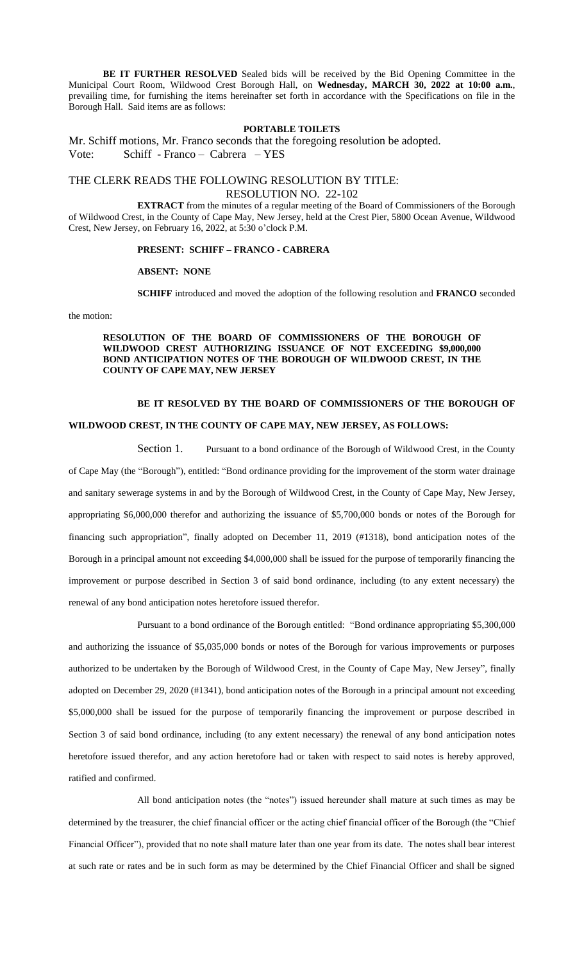**BE IT FURTHER RESOLVED** Sealed bids will be received by the Bid Opening Committee in the Municipal Court Room, Wildwood Crest Borough Hall, on **Wednesday, MARCH 30, 2022 at 10:00 a.m.**, prevailing time, for furnishing the items hereinafter set forth in accordance with the Specifications on file in the Borough Hall. Said items are as follows:

### **PORTABLE TOILETS**

Mr. Schiff motions, Mr. Franco seconds that the foregoing resolution be adopted. Vote: Schiff - Franco – Cabrera – YES

### THE CLERK READS THE FOLLOWING RESOLUTION BY TITLE: RESOLUTION NO. 22-102

**EXTRACT** from the minutes of a regular meeting of the Board of Commissioners of the Borough of Wildwood Crest, in the County of Cape May, New Jersey, held at the Crest Pier, 5800 Ocean Avenue, Wildwood Crest, New Jersey, on February 16, 2022, at 5:30 o'clock P.M.

### **PRESENT: SCHIFF – FRANCO - CABRERA**

#### **ABSENT: NONE**

**SCHIFF** introduced and moved the adoption of the following resolution and **FRANCO** seconded

#### the motion:

### **RESOLUTION OF THE BOARD OF COMMISSIONERS OF THE BOROUGH OF WILDWOOD CREST AUTHORIZING ISSUANCE OF NOT EXCEEDING \$9,000,000 BOND ANTICIPATION NOTES OF THE BOROUGH OF WILDWOOD CREST, IN THE COUNTY OF CAPE MAY, NEW JERSEY**

### **BE IT RESOLVED BY THE BOARD OF COMMISSIONERS OF THE BOROUGH OF**

### **WILDWOOD CREST, IN THE COUNTY OF CAPE MAY, NEW JERSEY, AS FOLLOWS:**

Section 1. Pursuant to a bond ordinance of the Borough of Wildwood Crest, in the County

of Cape May (the "Borough"), entitled: "Bond ordinance providing for the improvement of the storm water drainage and sanitary sewerage systems in and by the Borough of Wildwood Crest, in the County of Cape May, New Jersey, appropriating \$6,000,000 therefor and authorizing the issuance of \$5,700,000 bonds or notes of the Borough for financing such appropriation", finally adopted on December 11, 2019 (#1318), bond anticipation notes of the Borough in a principal amount not exceeding \$4,000,000 shall be issued for the purpose of temporarily financing the improvement or purpose described in Section 3 of said bond ordinance, including (to any extent necessary) the renewal of any bond anticipation notes heretofore issued therefor.

Pursuant to a bond ordinance of the Borough entitled: "Bond ordinance appropriating \$5,300,000 and authorizing the issuance of \$5,035,000 bonds or notes of the Borough for various improvements or purposes authorized to be undertaken by the Borough of Wildwood Crest, in the County of Cape May, New Jersey", finally adopted on December 29, 2020 (#1341), bond anticipation notes of the Borough in a principal amount not exceeding \$5,000,000 shall be issued for the purpose of temporarily financing the improvement or purpose described in Section 3 of said bond ordinance, including (to any extent necessary) the renewal of any bond anticipation notes heretofore issued therefor, and any action heretofore had or taken with respect to said notes is hereby approved, ratified and confirmed.

All bond anticipation notes (the "notes") issued hereunder shall mature at such times as may be determined by the treasurer, the chief financial officer or the acting chief financial officer of the Borough (the "Chief Financial Officer"), provided that no note shall mature later than one year from its date. The notes shall bear interest at such rate or rates and be in such form as may be determined by the Chief Financial Officer and shall be signed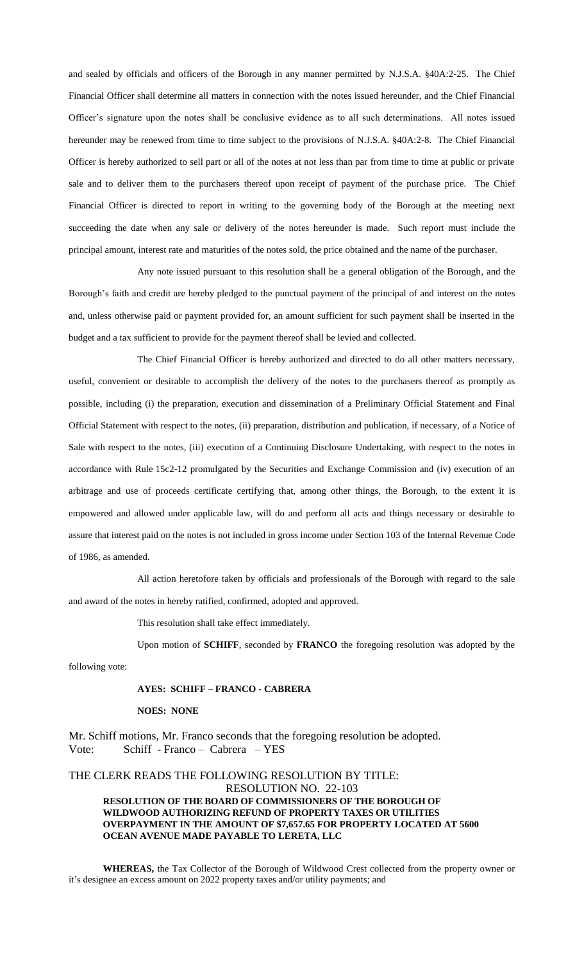and sealed by officials and officers of the Borough in any manner permitted by N.J.S.A. §40A:2-25. The Chief Financial Officer shall determine all matters in connection with the notes issued hereunder, and the Chief Financial Officer's signature upon the notes shall be conclusive evidence as to all such determinations. All notes issued hereunder may be renewed from time to time subject to the provisions of N.J.S.A. §40A:2-8. The Chief Financial Officer is hereby authorized to sell part or all of the notes at not less than par from time to time at public or private sale and to deliver them to the purchasers thereof upon receipt of payment of the purchase price. The Chief Financial Officer is directed to report in writing to the governing body of the Borough at the meeting next succeeding the date when any sale or delivery of the notes hereunder is made. Such report must include the principal amount, interest rate and maturities of the notes sold, the price obtained and the name of the purchaser.

Any note issued pursuant to this resolution shall be a general obligation of the Borough, and the Borough's faith and credit are hereby pledged to the punctual payment of the principal of and interest on the notes and, unless otherwise paid or payment provided for, an amount sufficient for such payment shall be inserted in the budget and a tax sufficient to provide for the payment thereof shall be levied and collected.

The Chief Financial Officer is hereby authorized and directed to do all other matters necessary, useful, convenient or desirable to accomplish the delivery of the notes to the purchasers thereof as promptly as possible, including (i) the preparation, execution and dissemination of a Preliminary Official Statement and Final Official Statement with respect to the notes, (ii) preparation, distribution and publication, if necessary, of a Notice of Sale with respect to the notes, (iii) execution of a Continuing Disclosure Undertaking, with respect to the notes in accordance with Rule 15c2-12 promulgated by the Securities and Exchange Commission and (iv) execution of an arbitrage and use of proceeds certificate certifying that, among other things, the Borough, to the extent it is empowered and allowed under applicable law, will do and perform all acts and things necessary or desirable to assure that interest paid on the notes is not included in gross income under Section 103 of the Internal Revenue Code of 1986, as amended.

All action heretofore taken by officials and professionals of the Borough with regard to the sale and award of the notes in hereby ratified, confirmed, adopted and approved.

This resolution shall take effect immediately.

Upon motion of **SCHIFF**, seconded by **FRANCO** the foregoing resolution was adopted by the

following vote:

### **AYES: SCHIFF – FRANCO - CABRERA**

#### **NOES: NONE**

Mr. Schiff motions, Mr. Franco seconds that the foregoing resolution be adopted. Vote: Schiff - Franco – Cabrera – YES

## THE CLERK READS THE FOLLOWING RESOLUTION BY TITLE: RESOLUTION NO. 22-103 **RESOLUTION OF THE BOARD OF COMMISSIONERS OF THE BOROUGH OF WILDWOOD AUTHORIZING REFUND OF PROPERTY TAXES OR UTILITIES OVERPAYMENT IN THE AMOUNT OF \$7,657.65 FOR PROPERTY LOCATED AT 5600 OCEAN AVENUE MADE PAYABLE TO LERETA, LLC**

**WHEREAS,** the Tax Collector of the Borough of Wildwood Crest collected from the property owner or it's designee an excess amount on 2022 property taxes and/or utility payments; and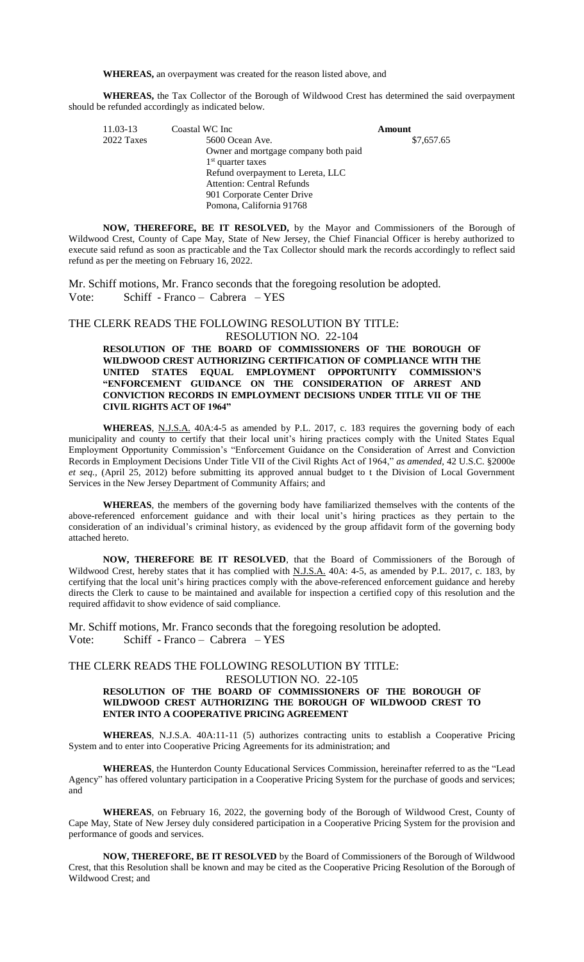**WHEREAS,** an overpayment was created for the reason listed above, and

**WHEREAS,** the Tax Collector of the Borough of Wildwood Crest has determined the said overpayment should be refunded accordingly as indicated below.

| 11.03-13   | Coastal WC Inc                       | Amount     |
|------------|--------------------------------------|------------|
| 2022 Taxes | 5600 Ocean Ave.                      | \$7,657.65 |
|            | Owner and mortgage company both paid |            |
|            | $1st$ quarter taxes                  |            |
|            | Refund overpayment to Lereta, LLC    |            |
|            | <b>Attention: Central Refunds</b>    |            |
|            | 901 Corporate Center Drive           |            |
|            | Pomona, California 91768             |            |

**NOW, THEREFORE, BE IT RESOLVED,** by the Mayor and Commissioners of the Borough of Wildwood Crest, County of Cape May, State of New Jersey, the Chief Financial Officer is hereby authorized to execute said refund as soon as practicable and the Tax Collector should mark the records accordingly to reflect said refund as per the meeting on February 16, 2022.

Mr. Schiff motions, Mr. Franco seconds that the foregoing resolution be adopted. Vote: Schiff - Franco – Cabrera – YES

### THE CLERK READS THE FOLLOWING RESOLUTION BY TITLE: RESOLUTION NO. 22-104

### **RESOLUTION OF THE BOARD OF COMMISSIONERS OF THE BOROUGH OF WILDWOOD CREST AUTHORIZING CERTIFICATION OF COMPLIANCE WITH THE UNITED STATES EQUAL EMPLOYMENT OPPORTUNITY COMMISSION'S "ENFORCEMENT GUIDANCE ON THE CONSIDERATION OF ARREST AND CONVICTION RECORDS IN EMPLOYMENT DECISIONS UNDER TITLE VII OF THE CIVIL RIGHTS ACT OF 1964"**

WHEREAS, N.J.S.A. 40A:4-5 as amended by P.L. 2017, c. 183 requires the governing body of each municipality and county to certify that their local unit's hiring practices comply with the United States Equal Employment Opportunity Commission's "Enforcement Guidance on the Consideration of Arrest and Conviction Records in Employment Decisions Under Title VII of the Civil Rights Act of 1964," *as amended,* 42 U.S.C. §2000e *et seq.,* (April 25, 2012) before submitting its approved annual budget to t the Division of Local Government Services in the New Jersey Department of Community Affairs; and

**WHEREAS**, the members of the governing body have familiarized themselves with the contents of the above-referenced enforcement guidance and with their local unit's hiring practices as they pertain to the consideration of an individual's criminal history, as evidenced by the group affidavit form of the governing body attached hereto.

**NOW, THEREFORE BE IT RESOLVED**, that the Board of Commissioners of the Borough of Wildwood Crest, hereby states that it has complied with N.J.S.A. 40A: 4-5, as amended by P.L. 2017, c. 183, by certifying that the local unit's hiring practices comply with the above-referenced enforcement guidance and hereby directs the Clerk to cause to be maintained and available for inspection a certified copy of this resolution and the required affidavit to show evidence of said compliance.

Mr. Schiff motions, Mr. Franco seconds that the foregoing resolution be adopted. Vote: Schiff - Franco – Cabrera – YES

### THE CLERK READS THE FOLLOWING RESOLUTION BY TITLE:

RESOLUTION NO. 22-105

### **RESOLUTION OF THE BOARD OF COMMISSIONERS OF THE BOROUGH OF WILDWOOD CREST AUTHORIZING THE BOROUGH OF WILDWOOD CREST TO ENTER INTO A COOPERATIVE PRICING AGREEMENT**

**WHEREAS**, N.J.S.A. 40A:11-11 (5) authorizes contracting units to establish a Cooperative Pricing System and to enter into Cooperative Pricing Agreements for its administration; and

**WHEREAS**, the Hunterdon County Educational Services Commission, hereinafter referred to as the "Lead Agency" has offered voluntary participation in a Cooperative Pricing System for the purchase of goods and services; and

**WHEREAS**, on February 16, 2022, the governing body of the Borough of Wildwood Crest, County of Cape May, State of New Jersey duly considered participation in a Cooperative Pricing System for the provision and performance of goods and services.

**NOW, THEREFORE, BE IT RESOLVED** by the Board of Commissioners of the Borough of Wildwood Crest, that this Resolution shall be known and may be cited as the Cooperative Pricing Resolution of the Borough of Wildwood Crest; and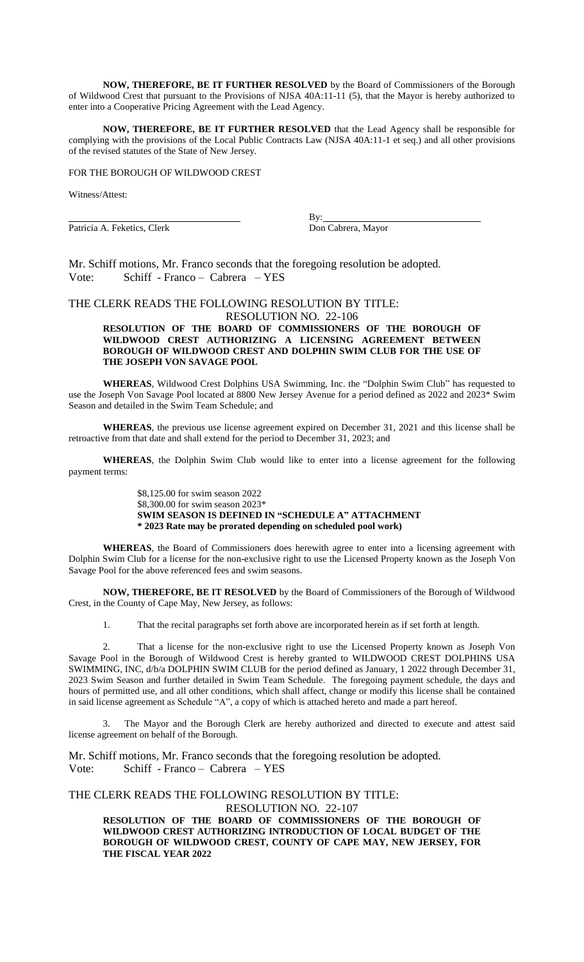**NOW, THEREFORE, BE IT FURTHER RESOLVED** by the Board of Commissioners of the Borough of Wildwood Crest that pursuant to the Provisions of NJSA 40A:11-11 (5), that the Mayor is hereby authorized to enter into a Cooperative Pricing Agreement with the Lead Agency.

**NOW, THEREFORE, BE IT FURTHER RESOLVED** that the Lead Agency shall be responsible for complying with the provisions of the Local Public Contracts Law (NJSA 40A:11-1 et seq.) and all other provisions of the revised statutes of the State of New Jersey.

### FOR THE BOROUGH OF WILDWOOD CREST

Witness/Attest:

Patricia A. Feketics, Clerk Don Cabrera, Mayor

By:

Mr. Schiff motions, Mr. Franco seconds that the foregoing resolution be adopted. Vote: Schiff - Franco – Cabrera – YES

# THE CLERK READS THE FOLLOWING RESOLUTION BY TITLE:

RESOLUTION NO. 22-106 **RESOLUTION OF THE BOARD OF COMMISSIONERS OF THE BOROUGH OF** 

# **WILDWOOD CREST AUTHORIZING A LICENSING AGREEMENT BETWEEN BOROUGH OF WILDWOOD CREST AND DOLPHIN SWIM CLUB FOR THE USE OF THE JOSEPH VON SAVAGE POOL**

**WHEREAS**, Wildwood Crest Dolphins USA Swimming, Inc. the "Dolphin Swim Club" has requested to use the Joseph Von Savage Pool located at 8800 New Jersey Avenue for a period defined as 2022 and 2023\* Swim Season and detailed in the Swim Team Schedule; and

**WHEREAS**, the previous use license agreement expired on December 31, 2021 and this license shall be retroactive from that date and shall extend for the period to December 31, 2023; and

**WHEREAS**, the Dolphin Swim Club would like to enter into a license agreement for the following payment terms:

> \$8,125.00 for swim season 2022 \$8,300.00 for swim season 2023\* **SWIM SEASON IS DEFINED IN "SCHEDULE A" ATTACHMENT \* 2023 Rate may be prorated depending on scheduled pool work)**

**WHEREAS**, the Board of Commissioners does herewith agree to enter into a licensing agreement with Dolphin Swim Club for a license for the non-exclusive right to use the Licensed Property known as the Joseph Von Savage Pool for the above referenced fees and swim seasons.

**NOW, THEREFORE, BE IT RESOLVED** by the Board of Commissioners of the Borough of Wildwood Crest, in the County of Cape May, New Jersey, as follows:

1. That the recital paragraphs set forth above are incorporated herein as if set forth at length.

2. That a license for the non-exclusive right to use the Licensed Property known as Joseph Von Savage Pool in the Borough of Wildwood Crest is hereby granted to WILDWOOD CREST DOLPHINS USA SWIMMING, INC, d/b/a DOLPHIN SWIM CLUB for the period defined as January, 1 2022 through December 31, 2023 Swim Season and further detailed in Swim Team Schedule. The foregoing payment schedule, the days and hours of permitted use, and all other conditions, which shall affect, change or modify this license shall be contained in said license agreement as Schedule "A", a copy of which is attached hereto and made a part hereof.

3. The Mayor and the Borough Clerk are hereby authorized and directed to execute and attest said license agreement on behalf of the Borough.

Mr. Schiff motions, Mr. Franco seconds that the foregoing resolution be adopted. Vote: Schiff - Franco – Cabrera – YES

### THE CLERK READS THE FOLLOWING RESOLUTION BY TITLE: RESOLUTION NO. 22-107

**RESOLUTION OF THE BOARD OF COMMISSIONERS OF THE BOROUGH OF WILDWOOD CREST AUTHORIZING INTRODUCTION OF LOCAL BUDGET OF THE BOROUGH OF WILDWOOD CREST, COUNTY OF CAPE MAY, NEW JERSEY, FOR THE FISCAL YEAR 2022**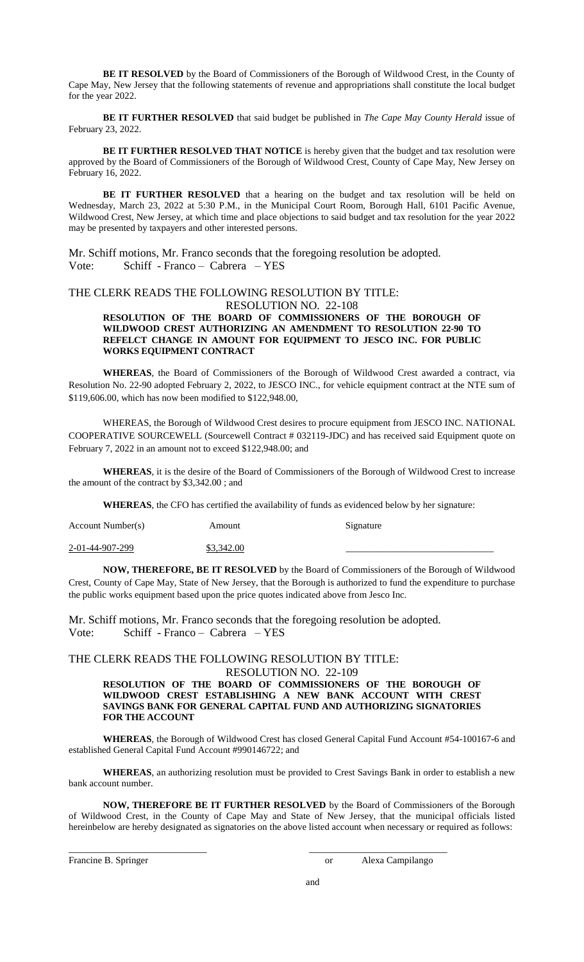**BE IT RESOLVED** by the Board of Commissioners of the Borough of Wildwood Crest, in the County of Cape May, New Jersey that the following statements of revenue and appropriations shall constitute the local budget for the year 2022.

**BE IT FURTHER RESOLVED** that said budget be published in *The Cape May County Herald* issue of February 23, 2022.

**BE IT FURTHER RESOLVED THAT NOTICE** is hereby given that the budget and tax resolution were approved by the Board of Commissioners of the Borough of Wildwood Crest, County of Cape May, New Jersey on February 16, 2022.

BE IT FURTHER RESOLVED that a hearing on the budget and tax resolution will be held on Wednesday, March 23, 2022 at 5:30 P.M., in the Municipal Court Room, Borough Hall, 6101 Pacific Avenue, Wildwood Crest, New Jersey, at which time and place objections to said budget and tax resolution for the year 2022 may be presented by taxpayers and other interested persons.

Mr. Schiff motions, Mr. Franco seconds that the foregoing resolution be adopted. Vote: Schiff - Franco – Cabrera – YES

# THE CLERK READS THE FOLLOWING RESOLUTION BY TITLE:

RESOLUTION NO. 22-108

### **RESOLUTION OF THE BOARD OF COMMISSIONERS OF THE BOROUGH OF WILDWOOD CREST AUTHORIZING AN AMENDMENT TO RESOLUTION 22-90 TO REFELCT CHANGE IN AMOUNT FOR EQUIPMENT TO JESCO INC. FOR PUBLIC WORKS EQUIPMENT CONTRACT**

**WHEREAS**, the Board of Commissioners of the Borough of Wildwood Crest awarded a contract, via Resolution No. 22-90 adopted February 2, 2022, to JESCO INC., for vehicle equipment contract at the NTE sum of \$119,606.00, which has now been modified to \$122,948.00,

WHEREAS, the Borough of Wildwood Crest desires to procure equipment from JESCO INC. NATIONAL COOPERATIVE SOURCEWELL (Sourcewell Contract # 032119-JDC) and has received said Equipment quote on February 7, 2022 in an amount not to exceed \$122,948.00; and

**WHEREAS**, it is the desire of the Board of Commissioners of the Borough of Wildwood Crest to increase the amount of the contract by \$3,342.00 ; and

**WHEREAS**, the CFO has certified the availability of funds as evidenced below by her signature:

| Account Number(s) | Amount     | Signature |
|-------------------|------------|-----------|
| 2-01-44-907-299   | \$3,342.00 |           |

**NOW, THEREFORE, BE IT RESOLVED** by the Board of Commissioners of the Borough of Wildwood Crest, County of Cape May, State of New Jersey, that the Borough is authorized to fund the expenditure to purchase the public works equipment based upon the price quotes indicated above from Jesco Inc.

Mr. Schiff motions, Mr. Franco seconds that the foregoing resolution be adopted. Vote: Schiff - Franco – Cabrera – YES

THE CLERK READS THE FOLLOWING RESOLUTION BY TITLE:

RESOLUTION NO. 22-109

**RESOLUTION OF THE BOARD OF COMMISSIONERS OF THE BOROUGH OF WILDWOOD CREST ESTABLISHING A NEW BANK ACCOUNT WITH CREST SAVINGS BANK FOR GENERAL CAPITAL FUND AND AUTHORIZING SIGNATORIES FOR THE ACCOUNT**

**WHEREAS**, the Borough of Wildwood Crest has closed General Capital Fund Account #54-100167-6 and established General Capital Fund Account #990146722; and

**WHEREAS**, an authorizing resolution must be provided to Crest Savings Bank in order to establish a new bank account number.

**NOW, THEREFORE BE IT FURTHER RESOLVED** by the Board of Commissioners of the Borough of Wildwood Crest, in the County of Cape May and State of New Jersey, that the municipal officials listed hereinbelow are hereby designated as signatories on the above listed account when necessary or required as follows:

 $\frac{1}{2}$  ,  $\frac{1}{2}$  ,  $\frac{1}{2}$  ,  $\frac{1}{2}$  ,  $\frac{1}{2}$  ,  $\frac{1}{2}$  ,  $\frac{1}{2}$  ,  $\frac{1}{2}$  ,  $\frac{1}{2}$  ,  $\frac{1}{2}$  ,  $\frac{1}{2}$  ,  $\frac{1}{2}$  ,  $\frac{1}{2}$  ,  $\frac{1}{2}$  ,  $\frac{1}{2}$  ,  $\frac{1}{2}$  ,  $\frac{1}{2}$  ,  $\frac{1}{2}$  ,  $\frac{1$ 

Francine B. Springer and Theorem 2012 Contract and Theorem 2012 Contract and Alexa Campilango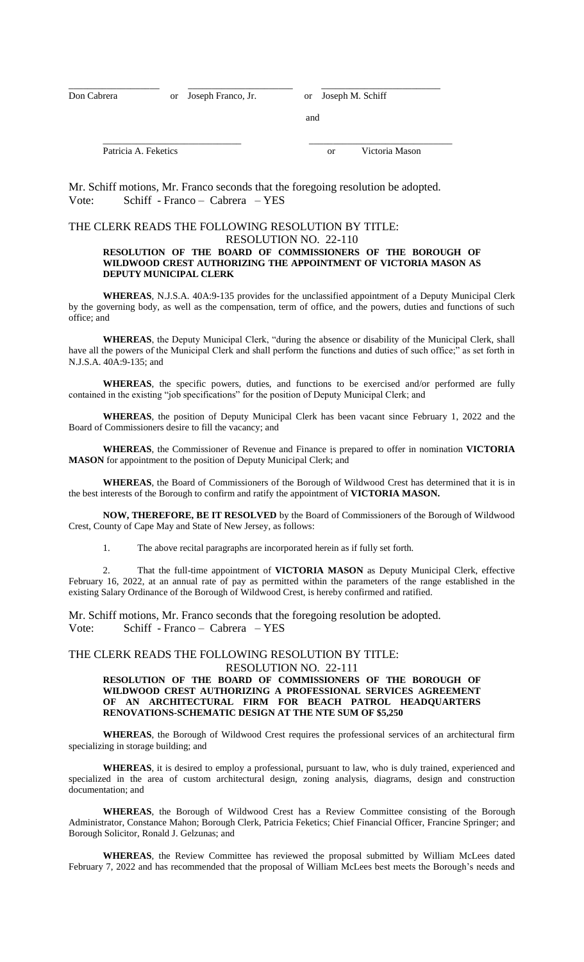Don Cabrera or Joseph Franco, Jr. or Joseph M. Schiff

and

Patricia A. Feketics or Victoria Mason

Mr. Schiff motions, Mr. Franco seconds that the foregoing resolution be adopted. Vote: Schiff - Franco – Cabrera – YES

\_\_\_\_\_\_\_\_\_\_\_\_\_\_\_\_\_\_\_ \_\_\_\_\_\_\_\_\_\_\_\_\_\_\_\_\_\_\_\_\_\_ \_\_\_\_\_\_\_\_\_\_\_\_\_\_\_\_\_\_\_\_\_\_\_\_\_

# THE CLERK READS THE FOLLOWING RESOLUTION BY TITLE:

## RESOLUTION NO. 22-110 **RESOLUTION OF THE BOARD OF COMMISSIONERS OF THE BOROUGH OF**

\_\_\_\_\_\_\_\_\_\_\_\_\_\_\_\_\_\_\_\_\_\_\_\_\_\_\_\_\_ \_\_\_\_\_\_\_\_\_\_\_\_\_\_\_\_\_\_\_\_\_\_\_\_\_\_\_\_\_\_

# **WILDWOOD CREST AUTHORIZING THE APPOINTMENT OF VICTORIA MASON AS DEPUTY MUNICIPAL CLERK**

**WHEREAS**, N.J.S.A. 40A:9-135 provides for the unclassified appointment of a Deputy Municipal Clerk by the governing body, as well as the compensation, term of office, and the powers, duties and functions of such office; and

**WHEREAS**, the Deputy Municipal Clerk, "during the absence or disability of the Municipal Clerk, shall have all the powers of the Municipal Clerk and shall perform the functions and duties of such office;" as set forth in N.J.S.A. 40A:9-135; and

**WHEREAS**, the specific powers, duties, and functions to be exercised and/or performed are fully contained in the existing "job specifications" for the position of Deputy Municipal Clerk; and

**WHEREAS**, the position of Deputy Municipal Clerk has been vacant since February 1, 2022 and the Board of Commissioners desire to fill the vacancy; and

**WHEREAS**, the Commissioner of Revenue and Finance is prepared to offer in nomination **VICTORIA MASON** for appointment to the position of Deputy Municipal Clerk; and

**WHEREAS**, the Board of Commissioners of the Borough of Wildwood Crest has determined that it is in the best interests of the Borough to confirm and ratify the appointment of **VICTORIA MASON.**

**NOW, THEREFORE, BE IT RESOLVED** by the Board of Commissioners of the Borough of Wildwood Crest, County of Cape May and State of New Jersey, as follows:

1. The above recital paragraphs are incorporated herein as if fully set forth.

2. That the full-time appointment of **VICTORIA MASON** as Deputy Municipal Clerk, effective February 16, 2022, at an annual rate of pay as permitted within the parameters of the range established in the existing Salary Ordinance of the Borough of Wildwood Crest, is hereby confirmed and ratified.

Mr. Schiff motions, Mr. Franco seconds that the foregoing resolution be adopted. Vote: Schiff - Franco – Cabrera – YES

# THE CLERK READS THE FOLLOWING RESOLUTION BY TITLE:

RESOLUTION NO. 22-111

### **RESOLUTION OF THE BOARD OF COMMISSIONERS OF THE BOROUGH OF WILDWOOD CREST AUTHORIZING A PROFESSIONAL SERVICES AGREEMENT OF AN ARCHITECTURAL FIRM FOR BEACH PATROL HEADQUARTERS RENOVATIONS-SCHEMATIC DESIGN AT THE NTE SUM OF \$5,250**

**WHEREAS**, the Borough of Wildwood Crest requires the professional services of an architectural firm specializing in storage building; and

**WHEREAS**, it is desired to employ a professional, pursuant to law, who is duly trained, experienced and specialized in the area of custom architectural design, zoning analysis, diagrams, design and construction documentation; and

**WHEREAS**, the Borough of Wildwood Crest has a Review Committee consisting of the Borough Administrator, Constance Mahon; Borough Clerk, Patricia Feketics; Chief Financial Officer, Francine Springer; and Borough Solicitor, Ronald J. Gelzunas; and

**WHEREAS**, the Review Committee has reviewed the proposal submitted by William McLees dated February 7, 2022 and has recommended that the proposal of William McLees best meets the Borough's needs and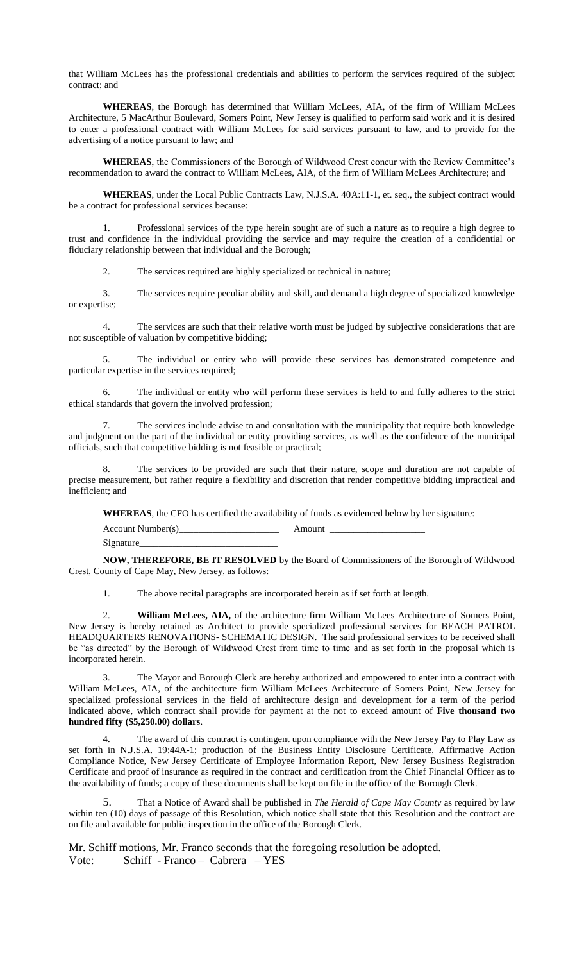that William McLees has the professional credentials and abilities to perform the services required of the subject contract; and

**WHEREAS**, the Borough has determined that William McLees, AIA, of the firm of William McLees Architecture, 5 MacArthur Boulevard, Somers Point, New Jersey is qualified to perform said work and it is desired to enter a professional contract with William McLees for said services pursuant to law, and to provide for the advertising of a notice pursuant to law; and

**WHEREAS**, the Commissioners of the Borough of Wildwood Crest concur with the Review Committee's recommendation to award the contract to William McLees, AIA, of the firm of William McLees Architecture; and

**WHEREAS**, under the Local Public Contracts Law, N.J.S.A. 40A:11-1, et. seq., the subject contract would be a contract for professional services because:

1. Professional services of the type herein sought are of such a nature as to require a high degree to trust and confidence in the individual providing the service and may require the creation of a confidential or fiduciary relationship between that individual and the Borough;

2. The services required are highly specialized or technical in nature;

3. The services require peculiar ability and skill, and demand a high degree of specialized knowledge or expertise;

The services are such that their relative worth must be judged by subjective considerations that are not susceptible of valuation by competitive bidding;

5. The individual or entity who will provide these services has demonstrated competence and particular expertise in the services required;

6. The individual or entity who will perform these services is held to and fully adheres to the strict ethical standards that govern the involved profession;

7. The services include advise to and consultation with the municipality that require both knowledge and judgment on the part of the individual or entity providing services, as well as the confidence of the municipal officials, such that competitive bidding is not feasible or practical;

The services to be provided are such that their nature, scope and duration are not capable of precise measurement, but rather require a flexibility and discretion that render competitive bidding impractical and inefficient; and

**WHEREAS**, the CFO has certified the availability of funds as evidenced below by her signature:

Account Number(s) Amount Signature

**NOW, THEREFORE, BE IT RESOLVED** by the Board of Commissioners of the Borough of Wildwood Crest, County of Cape May, New Jersey, as follows:

1. The above recital paragraphs are incorporated herein as if set forth at length.

2. **William McLees, AIA,** of the architecture firm William McLees Architecture of Somers Point, New Jersey is hereby retained as Architect to provide specialized professional services for BEACH PATROL HEADQUARTERS RENOVATIONS- SCHEMATIC DESIGN. The said professional services to be received shall be "as directed" by the Borough of Wildwood Crest from time to time and as set forth in the proposal which is incorporated herein.

3. The Mayor and Borough Clerk are hereby authorized and empowered to enter into a contract with William McLees, AIA, of the architecture firm William McLees Architecture of Somers Point, New Jersey for specialized professional services in the field of architecture design and development for a term of the period indicated above, which contract shall provide for payment at the not to exceed amount of **Five thousand two hundred fifty (\$5,250.00) dollars**.

The award of this contract is contingent upon compliance with the New Jersey Pay to Play Law as set forth in N.J.S.A. 19:44A-1; production of the Business Entity Disclosure Certificate, Affirmative Action Compliance Notice, New Jersey Certificate of Employee Information Report, New Jersey Business Registration Certificate and proof of insurance as required in the contract and certification from the Chief Financial Officer as to the availability of funds; a copy of these documents shall be kept on file in the office of the Borough Clerk.

5. That a Notice of Award shall be published in *The Herald of Cape May County* as required by law within ten (10) days of passage of this Resolution, which notice shall state that this Resolution and the contract are on file and available for public inspection in the office of the Borough Clerk.

Mr. Schiff motions, Mr. Franco seconds that the foregoing resolution be adopted. Vote: Schiff - Franco – Cabrera – YES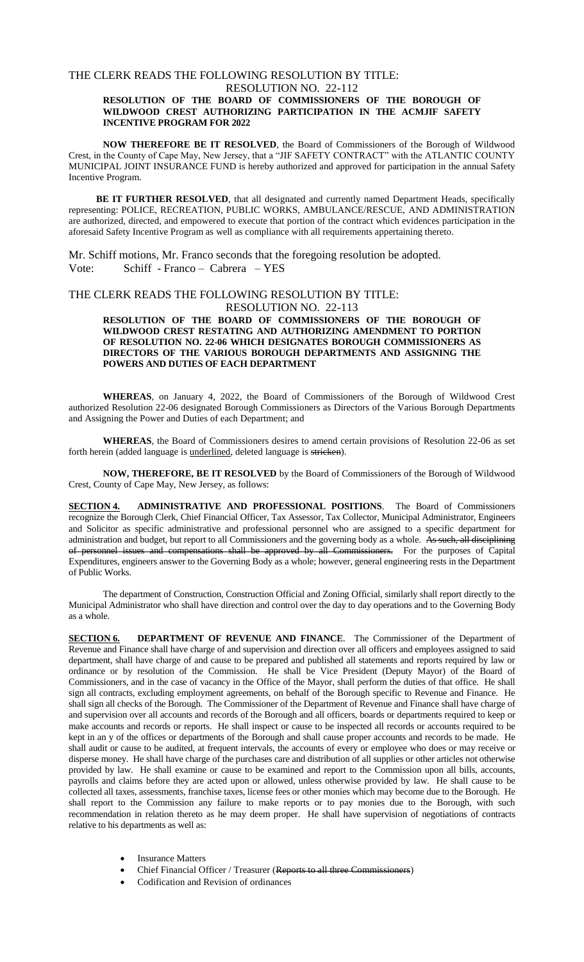## THE CLERK READS THE FOLLOWING RESOLUTION BY TITLE:

### RESOLUTION NO. 22-112 **RESOLUTION OF THE BOARD OF COMMISSIONERS OF THE BOROUGH OF WILDWOOD CREST AUTHORIZING PARTICIPATION IN THE ACMJIF SAFETY INCENTIVE PROGRAM FOR 2022**

**NOW THEREFORE BE IT RESOLVED**, the Board of Commissioners of the Borough of Wildwood Crest, in the County of Cape May, New Jersey, that a "JIF SAFETY CONTRACT" with the ATLANTIC COUNTY MUNICIPAL JOINT INSURANCE FUND is hereby authorized and approved for participation in the annual Safety Incentive Program.

**BE IT FURTHER RESOLVED**, that all designated and currently named Department Heads, specifically representing: POLICE, RECREATION, PUBLIC WORKS, AMBULANCE/RESCUE, AND ADMINISTRATION are authorized, directed, and empowered to execute that portion of the contract which evidences participation in the aforesaid Safety Incentive Program as well as compliance with all requirements appertaining thereto.

Mr. Schiff motions, Mr. Franco seconds that the foregoing resolution be adopted. Vote: Schiff - Franco – Cabrera – YES

## THE CLERK READS THE FOLLOWING RESOLUTION BY TITLE: RESOLUTION NO. 22-113

**RESOLUTION OF THE BOARD OF COMMISSIONERS OF THE BOROUGH OF WILDWOOD CREST RESTATING AND AUTHORIZING AMENDMENT TO PORTION OF RESOLUTION NO. 22-06 WHICH DESIGNATES BOROUGH COMMISSIONERS AS DIRECTORS OF THE VARIOUS BOROUGH DEPARTMENTS AND ASSIGNING THE POWERS AND DUTIES OF EACH DEPARTMENT**

**WHEREAS**, on January 4, 2022, the Board of Commissioners of the Borough of Wildwood Crest authorized Resolution 22-06 designated Borough Commissioners as Directors of the Various Borough Departments and Assigning the Power and Duties of each Department; and

**WHEREAS**, the Board of Commissioners desires to amend certain provisions of Resolution 22-06 as set forth herein (added language is underlined, deleted language is stricken).

**NOW, THEREFORE, BE IT RESOLVED** by the Board of Commissioners of the Borough of Wildwood Crest, County of Cape May, New Jersey, as follows:

**SECTION 4. ADMINISTRATIVE AND PROFESSIONAL POSITIONS**. The Board of Commissioners recognize the Borough Clerk, Chief Financial Officer, Tax Assessor, Tax Collector, Municipal Administrator, Engineers and Solicitor as specific administrative and professional personnel who are assigned to a specific department for administration and budget, but report to all Commissioners and the governing body as a whole. As such, all disciplining of personnel issues and compensations shall be approved by all Commissioners. For the purposes of Capital Expenditures, engineers answer to the Governing Body as a whole; however, general engineering rests in the Department of Public Works.

The department of Construction, Construction Official and Zoning Official, similarly shall report directly to the Municipal Administrator who shall have direction and control over the day to day operations and to the Governing Body as a whole.

**SECTION 6. DEPARTMENT OF REVENUE AND FINANCE.** The Commissioner of the Department of Revenue and Finance shall have charge of and supervision and direction over all officers and employees assigned to said department, shall have charge of and cause to be prepared and published all statements and reports required by law or ordinance or by resolution of the Commission. He shall be Vice President (Deputy Mayor) of the Board of Commissioners, and in the case of vacancy in the Office of the Mayor, shall perform the duties of that office. He shall sign all contracts, excluding employment agreements, on behalf of the Borough specific to Revenue and Finance. He shall sign all checks of the Borough. The Commissioner of the Department of Revenue and Finance shall have charge of and supervision over all accounts and records of the Borough and all officers, boards or departments required to keep or make accounts and records or reports. He shall inspect or cause to be inspected all records or accounts required to be kept in an y of the offices or departments of the Borough and shall cause proper accounts and records to be made. He shall audit or cause to be audited, at frequent intervals, the accounts of every or employee who does or may receive or disperse money. He shall have charge of the purchases care and distribution of all supplies or other articles not otherwise provided by law. He shall examine or cause to be examined and report to the Commission upon all bills, accounts, payrolls and claims before they are acted upon or allowed, unless otherwise provided by law. He shall cause to be collected all taxes, assessments, franchise taxes, license fees or other monies which may become due to the Borough. He shall report to the Commission any failure to make reports or to pay monies due to the Borough, with such recommendation in relation thereto as he may deem proper. He shall have supervision of negotiations of contracts relative to his departments as well as:

- Insurance Matters
- Chief Financial Officer / Treasurer (Reports to all three Commissioners)
- Codification and Revision of ordinances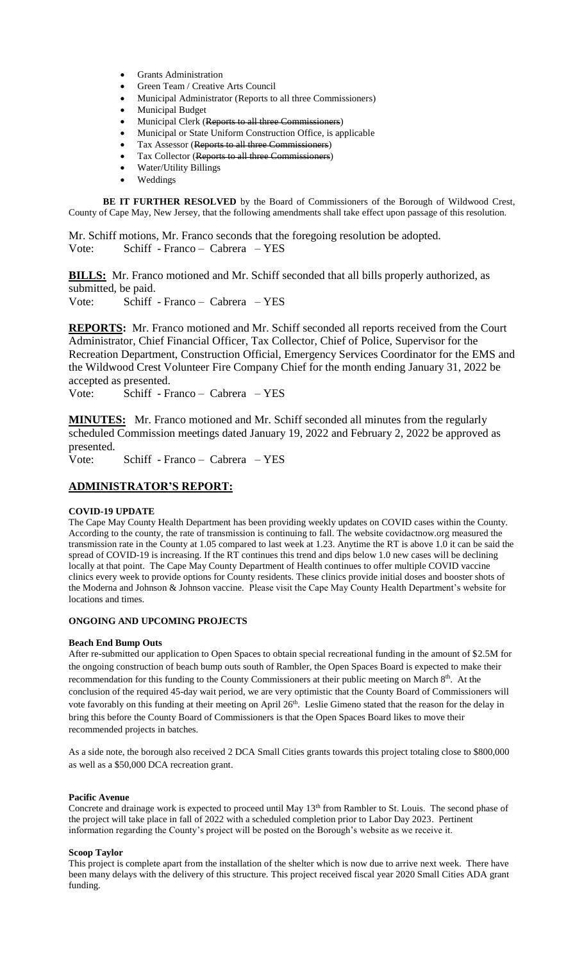- Grants Administration
- Green Team / Creative Arts Council
- Municipal Administrator (Reports to all three Commissioners)
- Municipal Budget
- Municipal Clerk (Reports to all three Commissioners)
- Municipal or State Uniform Construction Office, is applicable
- Tax Assessor (Reports to all three Commissioners)
- Tax Collector (Reports to all three Commissioners)
- Water/Utility Billings
- Weddings

**BE IT FURTHER RESOLVED** by the Board of Commissioners of the Borough of Wildwood Crest, County of Cape May, New Jersey, that the following amendments shall take effect upon passage of this resolution.

Mr. Schiff motions, Mr. Franco seconds that the foregoing resolution be adopted. Vote: Schiff - Franco – Cabrera – YES

**BILLS:** Mr. Franco motioned and Mr. Schiff seconded that all bills properly authorized, as submitted, be paid.

Vote: Schiff - Franco – Cabrera – YES

**REPORTS:** Mr. Franco motioned and Mr. Schiff seconded all reports received from the Court Administrator, Chief Financial Officer, Tax Collector, Chief of Police, Supervisor for the Recreation Department, Construction Official, Emergency Services Coordinator for the EMS and the Wildwood Crest Volunteer Fire Company Chief for the month ending January 31, 2022 be accepted as presented.

Vote: Schiff - Franco – Cabrera – YES

**MINUTES:** Mr. Franco motioned and Mr. Schiff seconded all minutes from the regularly scheduled Commission meetings dated January 19, 2022 and February 2, 2022 be approved as presented.

Vote: Schiff - Franco – Cabrera – YES

## **ADMINISTRATOR'S REPORT:**

### **COVID-19 UPDATE**

The Cape May County Health Department has been providing weekly updates on COVID cases within the County. According to the county, the rate of transmission is continuing to fall. The website covidactnow.org measured the transmission rate in the County at 1.05 compared to last week at 1.23. Anytime the RT is above 1.0 it can be said the spread of COVID-19 is increasing. If the RT continues this trend and dips below 1.0 new cases will be declining locally at that point. The Cape May County Department of Health continues to offer multiple COVID vaccine clinics every week to provide options for County residents. These clinics provide initial doses and booster shots of the Moderna and Johnson & Johnson vaccine. Please visit the Cape May County Health Department's website for locations and times.

### **ONGOING AND UPCOMING PROJECTS**

### **Beach End Bump Outs**

After re-submitted our application to Open Spaces to obtain special recreational funding in the amount of \$2.5M for the ongoing construction of beach bump outs south of Rambler, the Open Spaces Board is expected to make their recommendation for this funding to the County Commissioners at their public meeting on March 8<sup>th</sup>. At the conclusion of the required 45-day wait period, we are very optimistic that the County Board of Commissioners will vote favorably on this funding at their meeting on April 26<sup>th</sup>. Leslie Gimeno stated that the reason for the delay in bring this before the County Board of Commissioners is that the Open Spaces Board likes to move their recommended projects in batches.

As a side note, the borough also received 2 DCA Small Cities grants towards this project totaling close to \$800,000 as well as a \$50,000 DCA recreation grant.

### **Pacific Avenue**

Concrete and drainage work is expected to proceed until May 13<sup>th</sup> from Rambler to St. Louis. The second phase of the project will take place in fall of 2022 with a scheduled completion prior to Labor Day 2023. Pertinent information regarding the County's project will be posted on the Borough's website as we receive it.

### **Scoop Taylor**

This project is complete apart from the installation of the shelter which is now due to arrive next week. There have been many delays with the delivery of this structure. This project received fiscal year 2020 Small Cities ADA grant funding.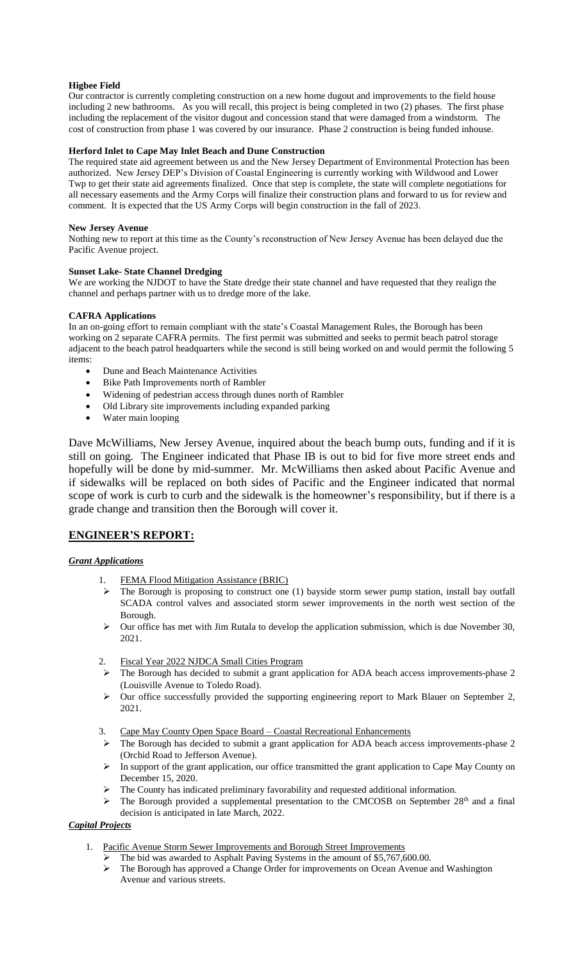### **Higbee Field**

Our contractor is currently completing construction on a new home dugout and improvements to the field house including 2 new bathrooms. As you will recall, this project is being completed in two (2) phases. The first phase including the replacement of the visitor dugout and concession stand that were damaged from a windstorm. The cost of construction from phase 1 was covered by our insurance. Phase 2 construction is being funded inhouse.

### **Herford Inlet to Cape May Inlet Beach and Dune Construction**

The required state aid agreement between us and the New Jersey Department of Environmental Protection has been authorized. New Jersey DEP's Division of Coastal Engineering is currently working with Wildwood and Lower Twp to get their state aid agreements finalized. Once that step is complete, the state will complete negotiations for all necessary easements and the Army Corps will finalize their construction plans and forward to us for review and comment. It is expected that the US Army Corps will begin construction in the fall of 2023.

### **New Jersey Avenue**

Nothing new to report at this time as the County's reconstruction of New Jersey Avenue has been delayed due the Pacific Avenue project.

### **Sunset Lake- State Channel Dredging**

We are working the NJDOT to have the State dredge their state channel and have requested that they realign the channel and perhaps partner with us to dredge more of the lake.

### **CAFRA Applications**

In an on-going effort to remain compliant with the state's Coastal Management Rules, the Borough has been working on 2 separate CAFRA permits. The first permit was submitted and seeks to permit beach patrol storage adjacent to the beach patrol headquarters while the second is still being worked on and would permit the following 5 items:

- Dune and Beach Maintenance Activities
- Bike Path Improvements north of Rambler
- Widening of pedestrian access through dunes north of Rambler
- Old Library site improvements including expanded parking
- Water main looping

Dave McWilliams, New Jersey Avenue, inquired about the beach bump outs, funding and if it is still on going. The Engineer indicated that Phase IB is out to bid for five more street ends and hopefully will be done by mid-summer. Mr. McWilliams then asked about Pacific Avenue and if sidewalks will be replaced on both sides of Pacific and the Engineer indicated that normal scope of work is curb to curb and the sidewalk is the homeowner's responsibility, but if there is a grade change and transition then the Borough will cover it.

## **ENGINEER'S REPORT:**

## *Grant Applications*

- 1. FEMA Flood Mitigation Assistance (BRIC)
- $\triangleright$  The Borough is proposing to construct one (1) bayside storm sewer pump station, install bay outfall SCADA control valves and associated storm sewer improvements in the north west section of the Borough.
- $\triangleright$  Our office has met with Jim Rutala to develop the application submission, which is due November 30, 2021.
- 2. Fiscal Year 2022 NJDCA Small Cities Program
- The Borough has decided to submit a grant application for ADA beach access improvements-phase 2 (Louisville Avenue to Toledo Road).
- Our office successfully provided the supporting engineering report to Mark Blauer on September 2, 2021.
- 3. Cape May County Open Space Board Coastal Recreational Enhancements
- The Borough has decided to submit a grant application for ADA beach access improvements-phase 2 (Orchid Road to Jefferson Avenue).
- $\triangleright$  In support of the grant application, our office transmitted the grant application to Cape May County on December 15, 2020.
- $\triangleright$  The County has indicated preliminary favorability and requested additional information.
- $\triangleright$  The Borough provided a supplemental presentation to the CMCOSB on September 28<sup>th</sup> and a final decision is anticipated in late March, 2022.

## *Capital Projects*

- 1. Pacific Avenue Storm Sewer Improvements and Borough Street Improvements
	- The bid was awarded to Asphalt Paving Systems in the amount of \$5,767,600.00.
	- $\triangleright$  The Borough has approved a Change Order for improvements on Ocean Avenue and Washington Avenue and various streets.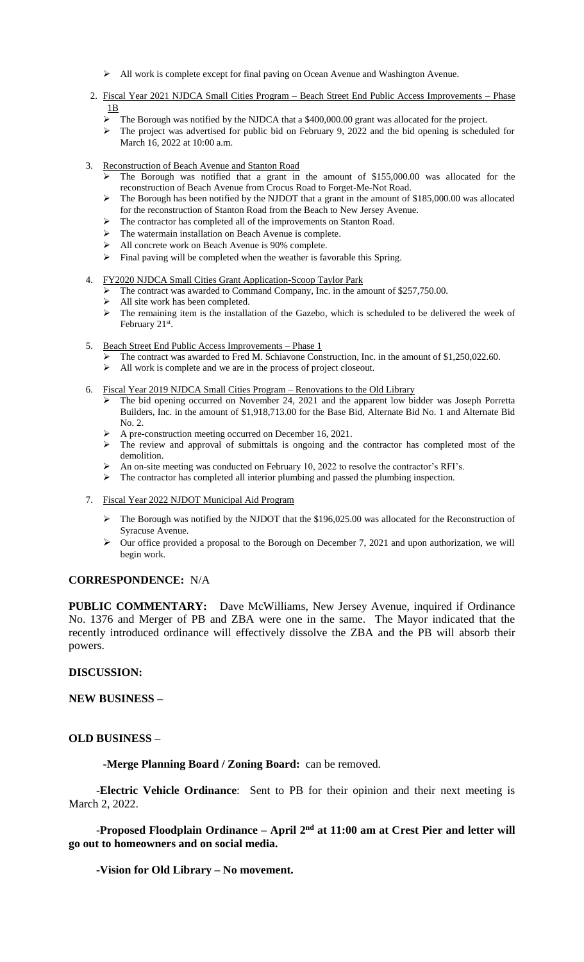- $\triangleright$  All work is complete except for final paving on Ocean Avenue and Washington Avenue.
- 2. Fiscal Year 2021 NJDCA Small Cities Program Beach Street End Public Access Improvements Phase 1B
	- The Borough was notified by the NJDCA that a \$400,000.00 grant was allocated for the project.
	- $\triangleright$  The project was advertised for public bid on February 9, 2022 and the bid opening is scheduled for March 16, 2022 at 10:00 a.m.
- 3. Reconstruction of Beach Avenue and Stanton Road
	- $\triangleright$  The Borough was notified that a grant in the amount of \$155,000.00 was allocated for the reconstruction of Beach Avenue from Crocus Road to Forget-Me-Not Road.
	- $\triangleright$  The Borough has been notified by the NJDOT that a grant in the amount of \$185,000.00 was allocated for the reconstruction of Stanton Road from the Beach to New Jersey Avenue.
	- > The contractor has completed all of the improvements on Stanton Road.
	- > The watermain installation on Beach Avenue is complete.
	- All concrete work on Beach Avenue is 90% complete.
	- $\triangleright$  Final paving will be completed when the weather is favorable this Spring.
- 4. FY2020 NJDCA Small Cities Grant Application-Scoop Taylor Park
	- The contract was awarded to Command Company, Inc. in the amount of \$257,750.00.
	- $\triangleright$  All site work has been completed.
	- $\triangleright$  The remaining item is the installation of the Gazebo, which is scheduled to be delivered the week of February 21<sup>st</sup>.
- 5. Beach Street End Public Access Improvements Phase 1
	- The contract was awarded to Fred M. Schiavone Construction, Inc. in the amount of \$1,250,022.60.
	- All work is complete and we are in the process of project closeout.
- 6. Fiscal Year 2019 NJDCA Small Cities Program Renovations to the Old Library
	- $\triangleright$  The bid opening occurred on November 24, 2021 and the apparent low bidder was Joseph Porretta Builders, Inc. in the amount of \$1,918,713.00 for the Base Bid, Alternate Bid No. 1 and Alternate Bid No. 2.
	- $\triangleright$  A pre-construction meeting occurred on December 16, 2021.
	- $\triangleright$  The review and approval of submittals is ongoing and the contractor has completed most of the demolition.
	- An on-site meeting was conducted on February 10, 2022 to resolve the contractor's RFI's.
	- $\triangleright$  The contractor has completed all interior plumbing and passed the plumbing inspection.
- 7. Fiscal Year 2022 NJDOT Municipal Aid Program
	- $\triangleright$  The Borough was notified by the NJDOT that the \$196,025.00 was allocated for the Reconstruction of Syracuse Avenue.
	- $\triangleright$  Our office provided a proposal to the Borough on December 7, 2021 and upon authorization, we will begin work.

## **CORRESPONDENCE:** N/A

**PUBLIC COMMENTARY:** Dave McWilliams, New Jersey Avenue, inquired if Ordinance No. 1376 and Merger of PB and ZBA were one in the same. The Mayor indicated that the recently introduced ordinance will effectively dissolve the ZBA and the PB will absorb their powers.

## **DISCUSSION:**

# **NEW BUSINESS –**

## **OLD BUSINESS –**

**-Merge Planning Board / Zoning Board:** can be removed.

**-Electric Vehicle Ordinance**: Sent to PB for their opinion and their next meeting is March 2, 2022.

**-Proposed Floodplain Ordinance – April 2<sup>nd</sup> at 11:00 am at Crest Pier and letter will go out to homeowners and on social media.** 

**-Vision for Old Library – No movement.**